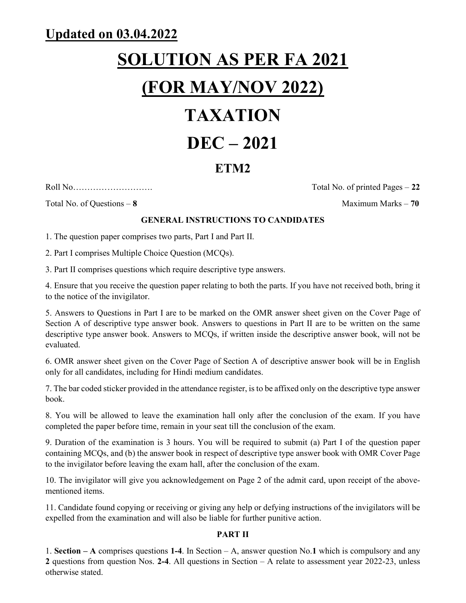## Updated on 03.04.2022

# SOLUTION AS PER FA 2021 (FOR MAY/NOV 2022)

# TAXATION

## DEC – 2021

## ETM2

Roll No………………………. Total No. of printed Pages – 22

Total No. of Questions – 8 Maximum Marks – 70

#### GENERAL INSTRUCTIONS TO CANDIDATES

1. The question paper comprises two parts, Part I and Part II.

2. Part I comprises Multiple Choice Question (MCQs).

3. Part II comprises questions which require descriptive type answers.

4. Ensure that you receive the question paper relating to both the parts. If you have not received both, bring it to the notice of the invigilator.

5. Answers to Questions in Part I are to be marked on the OMR answer sheet given on the Cover Page of Section A of descriptive type answer book. Answers to questions in Part II are to be written on the same descriptive type answer book. Answers to MCQs, if written inside the descriptive answer book, will not be evaluated.

6. OMR answer sheet given on the Cover Page of Section A of descriptive answer book will be in English only for all candidates, including for Hindi medium candidates.

7. The bar coded sticker provided in the attendance register, is to be affixed only on the descriptive type answer book.

8. You will be allowed to leave the examination hall only after the conclusion of the exam. If you have completed the paper before time, remain in your seat till the conclusion of the exam.

9. Duration of the examination is 3 hours. You will be required to submit (a) Part I of the question paper containing MCQs, and (b) the answer book in respect of descriptive type answer book with OMR Cover Page to the invigilator before leaving the exam hall, after the conclusion of the exam.

10. The invigilator will give you acknowledgement on Page 2 of the admit card, upon receipt of the abovementioned items.

11. Candidate found copying or receiving or giving any help or defying instructions of the invigilators will be expelled from the examination and will also be liable for further punitive action.

#### PART II

1. Section – A comprises questions 1-4. In Section – A, answer question No.1 which is compulsory and any 2 questions from question Nos. 2-4. All questions in Section – A relate to assessment year 2022-23, unless otherwise stated.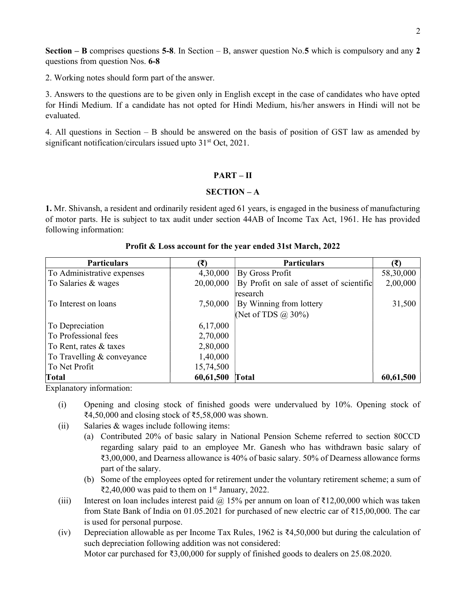**Section – B** comprises questions 5-8. In Section – B, answer question No.5 which is compulsory and any 2 questions from question Nos. 6-8

2. Working notes should form part of the answer.

3. Answers to the questions are to be given only in English except in the case of candidates who have opted for Hindi Medium. If a candidate has not opted for Hindi Medium, his/her answers in Hindi will not be evaluated.

4. All questions in Section – B should be answered on the basis of position of GST law as amended by significant notification/circulars issued upto  $31<sup>st</sup>$  Oct, 2021.

#### PART – II

#### SECTION – A

1. Mr. Shivansh, a resident and ordinarily resident aged 61 years, is engaged in the business of manufacturing of motor parts. He is subject to tax audit under section 44AB of Income Tax Act, 1961. He has provided following information:

| <b>Particulars</b>         |           | <b>Particulars</b>                       | (₹)       |
|----------------------------|-----------|------------------------------------------|-----------|
| To Administrative expenses | 4,30,000  | By Gross Profit                          | 58,30,000 |
| To Salaries & wages        | 20,00,000 | By Profit on sale of asset of scientific | 2,00,000  |
|                            |           | research                                 |           |
| To Interest on loans       | 7,50,000  | By Winning from lottery                  | 31,500    |
|                            |           | (Net of TDS $\omega$ 30%)                |           |
| To Depreciation            | 6,17,000  |                                          |           |
| To Professional fees       | 2,70,000  |                                          |           |
| To Rent, rates & taxes     | 2,80,000  |                                          |           |
| To Travelling & conveyance | 1,40,000  |                                          |           |
| To Net Profit              | 15,74,500 |                                          |           |
| Total                      | 60,61,500 | Total                                    | 60,61,500 |

#### Profit & Loss account for the year ended 31st March, 2022

Explanatory information:

- (i) Opening and closing stock of finished goods were undervalued by 10%. Opening stock of ₹4,50,000 and closing stock of ₹5,58,000 was shown.
- (ii) Salaries  $&$  wages include following items:
	- (a) Contributed 20% of basic salary in National Pension Scheme referred to section 80CCD regarding salary paid to an employee Mr. Ganesh who has withdrawn basic salary of ₹3,00,000, and Dearness allowance is 40% of basic salary. 50% of Dearness allowance forms part of the salary.
	- (b) Some of the employees opted for retirement under the voluntary retirement scheme; a sum of ₹2,40,000 was paid to them on 1<sup>st</sup> January, 2022.
- (iii) Interest on loan includes interest paid @ 15% per annum on loan of  $\bar{\tau}$ 12,00,000 which was taken from State Bank of India on 01.05.2021 for purchased of new electric car of ₹15,00,000. The car is used for personal purpose.
- (iv) Depreciation allowable as per Income Tax Rules, 1962 is ₹4,50,000 but during the calculation of such depreciation following addition was not considered: Motor car purchased for ₹3,00,000 for supply of finished goods to dealers on 25.08.2020.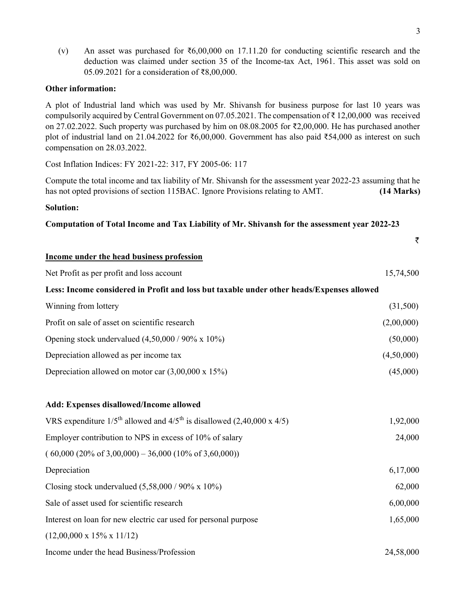(v) An asset was purchased for  $\overline{6,00,000}$  on 17.11.20 for conducting scientific research and the deduction was claimed under section 35 of the Income-tax Act, 1961. This asset was sold on 05.09.2021 for a consideration of ₹8,00,000.

#### Other information:

A plot of Industrial land which was used by Mr. Shivansh for business purpose for last 10 years was compulsorily acquired by Central Government on 07.05.2021. The compensation of ₹ 12,00,000 was received on 27.02.2022. Such property was purchased by him on 08.08.2005 for ₹2,00,000. He has purchased another plot of industrial land on 21.04.2022 for ₹6,00,000. Government has also paid ₹54,000 as interest on such compensation on 28.03.2022.

Cost Inflation Indices: FY 2021-22: 317, FY 2005-06: 117

Compute the total income and tax liability of Mr. Shivansh for the assessment year 2022-23 assuming that he has not opted provisions of section 115BAC. Ignore Provisions relating to AMT. (14 Marks)

#### Solution:

Computation of Total Income and Tax Liability of Mr. Shivansh for the assessment year 2022-23

|                                                                                                | ₹          |
|------------------------------------------------------------------------------------------------|------------|
| Income under the head business profession                                                      |            |
| Net Profit as per profit and loss account                                                      | 15,74,500  |
| Less: Income considered in Profit and loss but taxable under other heads/Expenses allowed      |            |
| Winning from lottery                                                                           | (31,500)   |
| Profit on sale of asset on scientific research                                                 | (2,00,000) |
| Opening stock undervalued $(4,50,000 / 90\% \times 10\%)$                                      | (50,000)   |
| Depreciation allowed as per income tax                                                         | (4,50,000) |
| Depreciation allowed on motor car $(3,00,000 \times 15\%)$                                     | (45,000)   |
|                                                                                                |            |
| Add: Expenses disallowed/Income allowed                                                        |            |
| VRS expenditure $1/5^{\text{th}}$ allowed and $4/5^{\text{th}}$ is disallowed (2,40,000 x 4/5) | 1,92,000   |
| Employer contribution to NPS in excess of 10% of salary                                        | 24,000     |
| $(60,000 (20\% of 3,00,000) - 36,000 (10\% of 3,60,000))$                                      |            |
| Depreciation                                                                                   | 6,17,000   |
| Closing stock undervalued $(5,58,000 / 90\% \times 10\%)$                                      | 62,000     |
| Sale of asset used for scientific research                                                     | 6,00,000   |
| Interest on loan for new electric car used for personal purpose                                | 1,65,000   |
| $(12,00,000 \times 15\% \times 11/12)$                                                         |            |
|                                                                                                |            |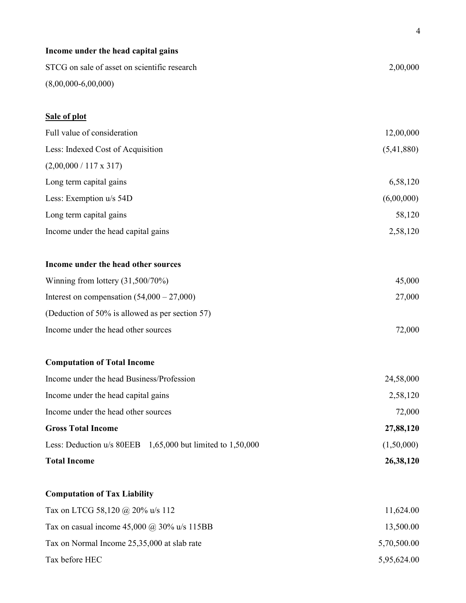| Income under the head capital gains                        |             |
|------------------------------------------------------------|-------------|
| STCG on sale of asset on scientific research               | 2,00,000    |
| $(8,00,000-6,00,000)$                                      |             |
| Sale of plot                                               |             |
| Full value of consideration                                | 12,00,000   |
| Less: Indexed Cost of Acquisition                          | (5,41,880)  |
| $(2,00,000 / 117 \times 317)$                              |             |
| Long term capital gains                                    | 6,58,120    |
| Less: Exemption u/s 54D                                    | (6,00,000)  |
| Long term capital gains                                    | 58,120      |
| Income under the head capital gains                        | 2,58,120    |
|                                                            |             |
| Income under the head other sources                        |             |
| Winning from lottery $(31,500/70%)$                        | 45,000      |
| Interest on compensation $(54,000 - 27,000)$               | 27,000      |
| (Deduction of 50% is allowed as per section 57)            |             |
| Income under the head other sources                        | 72,000      |
| <b>Computation of Total Income</b>                         |             |
| Income under the head Business/Profession                  | 24,58,000   |
| Income under the head capital gains                        | 2,58,120    |
| Income under the head other sources                        | 72,000      |
| <b>Gross Total Income</b>                                  | 27,88,120   |
| Less: Deduction u/s 80EEB 1,65,000 but limited to 1,50,000 | (1,50,000)  |
| <b>Total Income</b>                                        | 26,38,120   |
| <b>Computation of Tax Liability</b>                        |             |
| Tax on LTCG 58,120 @ 20% u/s 112                           | 11,624.00   |
| Tax on casual income $45,000 \ (\omega\)$ 30% u/s 115BB    | 13,500.00   |
| Tax on Normal Income 25,35,000 at slab rate                | 5,70,500.00 |
| Tax before HEC                                             | 5,95,624.00 |

4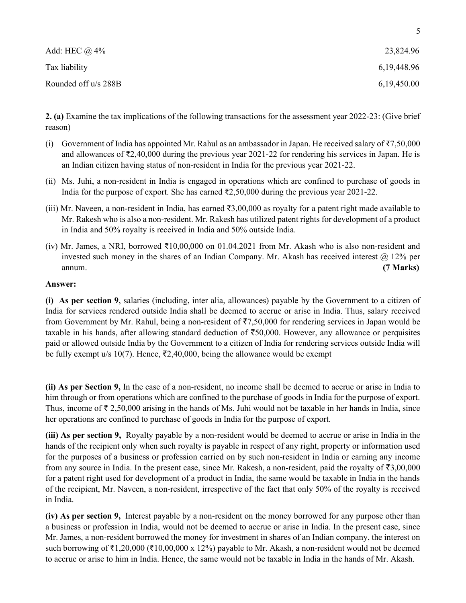| Add: HEC $\omega$ 4% | 23,824.96      |
|----------------------|----------------|
| Tax liability        | 6, 19, 448. 96 |
| Rounded off u/s 288B | 6,19,450.00    |

2. (a) Examine the tax implications of the following transactions for the assessment year 2022-23: (Give brief reason)

- (i) Government of India has appointed Mr. Rahul as an ambassador in Japan. He received salary of  $\text{\textless}7,50,000$ and allowances of ₹2,40,000 during the previous year 2021-22 for rendering his services in Japan. He is an Indian citizen having status of non-resident in India for the previous year 2021-22.
- (ii) Ms. Juhi, a non-resident in India is engaged in operations which are confined to purchase of goods in India for the purpose of export. She has earned ₹2,50,000 during the previous year 2021-22.
- (iii) Mr. Naveen, a non-resident in India, has earned ₹3,00,000 as royalty for a patent right made available to Mr. Rakesh who is also a non-resident. Mr. Rakesh has utilized patent rights for development of a product in India and 50% royalty is received in India and 50% outside India.
- (iv) Mr. James, a NRI, borrowed  $\text{\textsterling}10,00,000$  on 01.04.2021 from Mr. Akash who is also non-resident and invested such money in the shares of an Indian Company. Mr. Akash has received interest  $\omega$  12% per annum. (7 Marks)

#### Answer:

(i) As per section 9, salaries (including, inter alia, allowances) payable by the Government to a citizen of India for services rendered outside India shall be deemed to accrue or arise in India. Thus, salary received from Government by Mr. Rahul, being a non-resident of  $\overline{57,50,000}$  for rendering services in Japan would be taxable in his hands, after allowing standard deduction of  $\text{\textless}50,000$ . However, any allowance or perquisites paid or allowed outside India by the Government to a citizen of India for rendering services outside India will be fully exempt u/s 10(7). Hence,  $\overline{z}2,40,000$ , being the allowance would be exempt

(ii) As per Section 9, In the case of a non-resident, no income shall be deemed to accrue or arise in India to him through or from operations which are confined to the purchase of goods in India for the purpose of export. Thus, income of  $\bar{\tau}$  2,50,000 arising in the hands of Ms. Juhi would not be taxable in her hands in India, since her operations are confined to purchase of goods in India for the purpose of export.

(iii) As per section 9, Royalty payable by a non-resident would be deemed to accrue or arise in India in the hands of the recipient only when such royalty is payable in respect of any right, property or information used for the purposes of a business or profession carried on by such non-resident in India or earning any income from any source in India. In the present case, since Mr. Rakesh, a non-resident, paid the royalty of  $\bar{\tau}3,00,000$ for a patent right used for development of a product in India, the same would be taxable in India in the hands of the recipient, Mr. Naveen, a non-resident, irrespective of the fact that only 50% of the royalty is received in India.

(iv) As per section 9, Interest payable by a non-resident on the money borrowed for any purpose other than a business or profession in India, would not be deemed to accrue or arise in India. In the present case, since Mr. James, a non-resident borrowed the money for investment in shares of an Indian company, the interest on such borrowing of  $\bar{\tau}1,20,000$  ( $\bar{\tau}10,00,000$  x 12%) payable to Mr. Akash, a non-resident would not be deemed to accrue or arise to him in India. Hence, the same would not be taxable in India in the hands of Mr. Akash.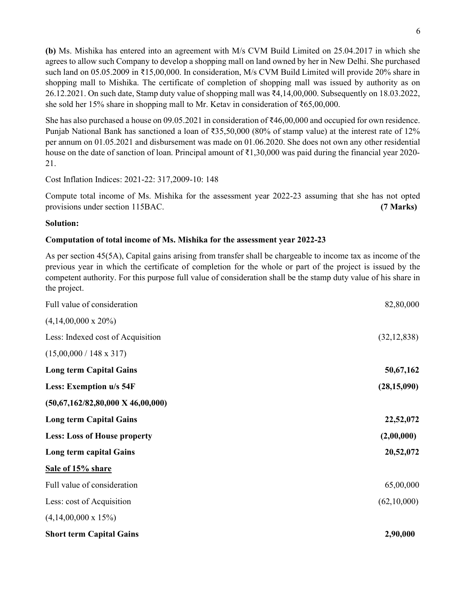(b) Ms. Mishika has entered into an agreement with M/s CVM Build Limited on 25.04.2017 in which she agrees to allow such Company to develop a shopping mall on land owned by her in New Delhi. She purchased such land on 05.05.2009 in ₹15,00,000. In consideration, M/s CVM Build Limited will provide 20% share in shopping mall to Mishika. The certificate of completion of shopping mall was issued by authority as on 26.12.2021. On such date, Stamp duty value of shopping mall was ₹4,14,00,000. Subsequently on 18.03.2022, she sold her 15% share in shopping mall to Mr. Ketav in consideration of ₹65,00,000.

She has also purchased a house on 09.05.2021 in consideration of ₹46,00,000 and occupied for own residence. Punjab National Bank has sanctioned a loan of ₹35,50,000 (80% of stamp value) at the interest rate of 12% per annum on 01.05.2021 and disbursement was made on 01.06.2020. She does not own any other residential house on the date of sanction of loan. Principal amount of ₹1,30,000 was paid during the financial year 2020- 21.

Cost Inflation Indices: 2021-22: 317,2009-10: 148

Compute total income of Ms. Mishika for the assessment year 2022-23 assuming that she has not opted provisions under section 115BAC. (7 Marks)

#### Solution:

#### Computation of total income of Ms. Mishika for the assessment year 2022-23

As per section 45(5A), Capital gains arising from transfer shall be chargeable to income tax as income of the previous year in which the certificate of completion for the whole or part of the project is issued by the competent authority. For this purpose full value of consideration shall be the stamp duty value of his share in the project.

| <b>Short term Capital Gains</b>              | 2,90,000      |
|----------------------------------------------|---------------|
| $(4,14,00,000 \times 15\%)$                  |               |
| Less: cost of Acquisition                    | (62,10,000)   |
| Full value of consideration                  | 65,00,000     |
| Sale of 15% share                            |               |
| Long term capital Gains                      | 20,52,072     |
| <b>Less: Loss of House property</b>          | (2,00,000)    |
| <b>Long term Capital Gains</b>               | 22,52,072     |
| $(50,67,162/82,80,000 \text{ X } 46,00,000)$ |               |
| Less: Exemption u/s 54F                      | (28, 15, 090) |
| <b>Long term Capital Gains</b>               | 50,67,162     |
| $(15,00,000 / 148 \times 317)$               |               |
| Less: Indexed cost of Acquisition            | (32, 12, 838) |
| $(4,14,00,000 \times 20\%)$                  |               |
| Full value of consideration                  | 82,80,000     |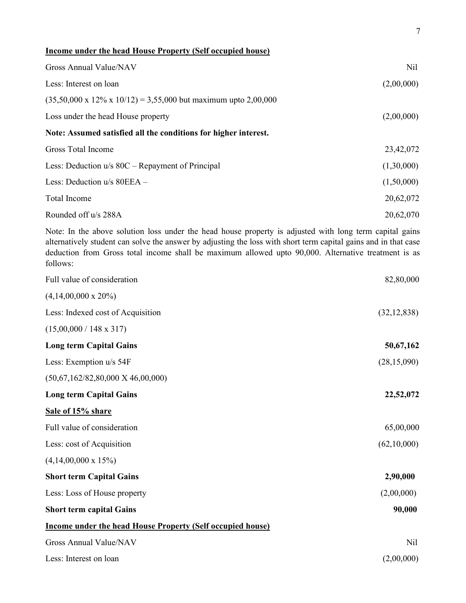| Income under the head House Property (Self occupied house)                  |            |
|-----------------------------------------------------------------------------|------------|
| Gross Annual Value/NAV                                                      | Nil        |
| Less: Interest on loan                                                      | (2,00,000) |
| $(35,50,000 \times 12\% \times 10/12) = 3,55,000$ but maximum upto 2,00,000 |            |
| Loss under the head House property                                          | (2,00,000) |
| Note: Assumed satisfied all the conditions for higher interest.             |            |
| Gross Total Income                                                          | 23,42,072  |
| Less: Deduction $u/s$ 80C – Repayment of Principal                          | (1,30,000) |
| Less: Deduction $u/s$ 80EEA –                                               | (1,50,000) |
| Total Income                                                                | 20,62,072  |
| Rounded off u/s 288A                                                        | 20,62,070  |

7

Note: In the above solution loss under the head house property is adjusted with long term capital gains alternatively student can solve the answer by adjusting the loss with short term capital gains and in that case deduction from Gross total income shall be maximum allowed upto 90,000. Alternative treatment is as follows:

| Full value of consideration                                       | 82,80,000     |
|-------------------------------------------------------------------|---------------|
| $(4,14,00,000 \times 20\%)$                                       |               |
| Less: Indexed cost of Acquisition                                 | (32, 12, 838) |
| $(15,00,000 / 148 \times 317)$                                    |               |
| <b>Long term Capital Gains</b>                                    | 50,67,162     |
| Less: Exemption u/s 54F                                           | (28, 15, 090) |
| $(50,67,162/82,80,000 \text{ X } 46,00,000)$                      |               |
| <b>Long term Capital Gains</b>                                    | 22,52,072     |
| Sale of 15% share                                                 |               |
| Full value of consideration                                       | 65,00,000     |
| Less: cost of Acquisition                                         | (62,10,000)   |
| $(4,14,00,000 \times 15\%)$                                       |               |
| <b>Short term Capital Gains</b>                                   | 2,90,000      |
| Less: Loss of House property                                      | (2,00,000)    |
| <b>Short term capital Gains</b>                                   | 90,000        |
| <b>Income under the head House Property (Self occupied house)</b> |               |
| Gross Annual Value/NAV                                            | Nil           |
| Less: Interest on loan                                            | (2,00,000)    |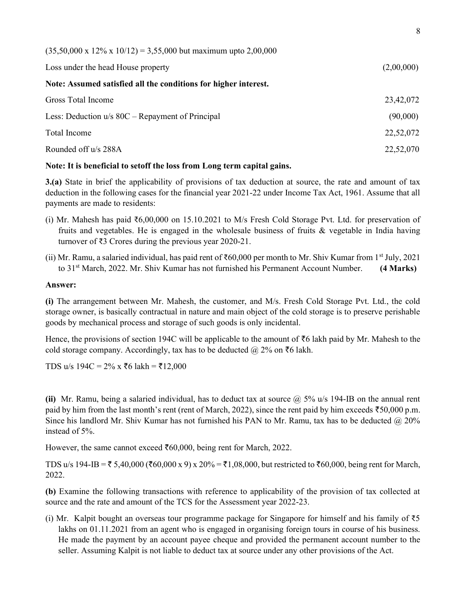| $(35,50,000 \times 12\% \times 10/12) = 3,55,000$ but maximum upto 2,00,000 |            |
|-----------------------------------------------------------------------------|------------|
| Loss under the head House property                                          | (2,00,000) |
| Note: Assumed satisfied all the conditions for higher interest.             |            |
| Gross Total Income                                                          | 23,42,072  |
| Less: Deduction $u/s$ 80C – Repayment of Principal                          | (90,000)   |
| Total Income                                                                | 22,52,072  |
| Rounded off u/s 288A                                                        | 22,52,070  |

#### Note: It is beneficial to setoff the loss from Long term capital gains.

3.(a) State in brief the applicability of provisions of tax deduction at source, the rate and amount of tax deduction in the following cases for the financial year 2021-22 under Income Tax Act, 1961. Assume that all payments are made to residents:

- (i) Mr. Mahesh has paid ₹6,00,000 on 15.10.2021 to M/s Fresh Cold Storage Pvt. Ltd. for preservation of fruits and vegetables. He is engaged in the wholesale business of fruits & vegetable in India having turnover of ₹3 Crores during the previous year 2020-21.
- (ii) Mr. Ramu, a salaried individual, has paid rent of ₹60,000 per month to Mr. Shiv Kumar from 1<sup>st</sup> July, 2021 to 31<sup>st</sup> March, 2022. Mr. Shiv Kumar has not furnished his Permanent Account Number. (4 Marks)

#### Answer:

(i) The arrangement between Mr. Mahesh, the customer, and M/s. Fresh Cold Storage Pvt. Ltd., the cold storage owner, is basically contractual in nature and main object of the cold storage is to preserve perishable goods by mechanical process and storage of such goods is only incidental.

Hence, the provisions of section 194C will be applicable to the amount of  $\bar{c}$  akh paid by Mr. Mahesh to the cold storage company. Accordingly, tax has to be deducted  $@$  2% on  $\overline{6}$  lakh.

TDS u/s 194C =  $2\%$  x ₹6 lakh = ₹12,000

(ii) Mr. Ramu, being a salaried individual, has to deduct tax at source  $\hat{\omega}$  5% u/s 194-IB on the annual rent paid by him from the last month's rent (rent of March, 2022), since the rent paid by him exceeds  $\overline{50,000}$  p.m. Since his landlord Mr. Shiv Kumar has not furnished his PAN to Mr. Ramu, tax has to be deducted @ 20% instead of 5%.

However, the same cannot exceed  $\text{\textsterling}60,000$ , being rent for March, 2022.

TDS u/s 194-IB =  $\bar{\tau}$  5,40,000 ( $\bar{\tau}$ 60,000 x 9) x 20% =  $\bar{\tau}$ 1,08,000, but restricted to  $\bar{\tau}$ 60,000, being rent for March, 2022.

(b) Examine the following transactions with reference to applicability of the provision of tax collected at source and the rate and amount of the TCS for the Assessment year 2022-23.

(i) Mr. Kalpit bought an overseas tour programme package for Singapore for himself and his family of  $\bar{\xi}$ 5 lakhs on  $01.11.2021$  from an agent who is engaged in organising foreign tours in course of his business. He made the payment by an account payee cheque and provided the permanent account number to the seller. Assuming Kalpit is not liable to deduct tax at source under any other provisions of the Act.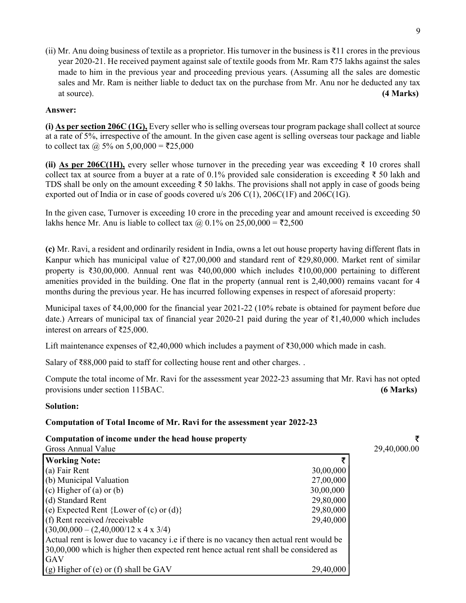(ii) Mr. Anu doing business of textile as a proprietor. His turnover in the business is  $\bar{\tau}$ 11 crores in the previous year 2020-21. He received payment against sale of textile goods from Mr. Ram ₹75 lakhs against the sales made to him in the previous year and proceeding previous years. (Assuming all the sales are domestic sales and Mr. Ram is neither liable to deduct tax on the purchase from Mr. Anu nor he deducted any tax at source). (4 Marks)

#### Answer:

(i) As per section 206C (1G), Every seller who is selling overseas tour program package shall collect at source at a rate of 5%, irrespective of the amount. In the given case agent is selling overseas tour package and liable to collect tax  $@$  5% on 5,00,000 = ₹25,000

(ii) As per 206C(1H), every seller whose turnover in the preceding year was exceeding  $\bar{\tau}$  10 crores shall collect tax at source from a buyer at a rate of 0.1% provided sale consideration is exceeding  $\bar{\tau}$  50 lakh and TDS shall be only on the amount exceeding ₹ 50 lakhs. The provisions shall not apply in case of goods being exported out of India or in case of goods covered  $u/s$  206 C(1), 206C(1F) and 206C(1G).

In the given case, Turnover is exceeding 10 crore in the preceding year and amount received is exceeding 50 lakhs hence Mr. Anu is liable to collect tax  $\omega$ , 0.1% on 25,00,000 =  $\overline{52,500}$ 

(c) Mr. Ravi, a resident and ordinarily resident in India, owns a let out house property having different flats in Kanpur which has municipal value of ₹27,00,000 and standard rent of ₹29,80,000. Market rent of similar property is ₹30,00,000. Annual rent was ₹40,00,000 which includes ₹10,00,000 pertaining to different amenities provided in the building. One flat in the property (annual rent is 2,40,000) remains vacant for 4 months during the previous year. He has incurred following expenses in respect of aforesaid property:

Municipal taxes of ₹4,00,000 for the financial year 2021-22 (10% rebate is obtained for payment before due date.) Arrears of municipal tax of financial year 2020-21 paid during the year of ₹1,40,000 which includes interest on arrears of ₹25,000.

Lift maintenance expenses of ₹2,40,000 which includes a payment of ₹30,000 which made in cash.

Salary of ₹88,000 paid to staff for collecting house rent and other charges. .

Compute the total income of Mr. Ravi for the assessment year 2022-23 assuming that Mr. Ravi has not opted provisions under section 115BAC. (6 Marks)

#### Solution:

#### Computation of Total Income of Mr. Ravi for the assessment year 2022-23

#### Computation of income under the head house property  $\bar{\tau}$

| Gross Annual Value                                                                               |           |
|--------------------------------------------------------------------------------------------------|-----------|
| <b>Working Note:</b>                                                                             |           |
| (a) Fair Rent                                                                                    | 30,00,000 |
| (b) Municipal Valuation                                                                          | 27,00,000 |
| (c) Higher of (a) or (b)                                                                         | 30,00,000 |
| (d) Standard Rent                                                                                | 29,80,000 |
| (e) Expected Rent {Lower of $(c)$ or $(d)$ }                                                     | 29,80,000 |
| (f) Rent received /receivable                                                                    | 29,40,000 |
| $(30,00,000 - (2,40,000/12 \times 4 \times 3/4))$                                                |           |
| Actual rent is lower due to vacancy <i>i.e.</i> if there is no vacancy then actual rent would be |           |
| 30,00,000 which is higher then expected rent hence actual rent shall be considered as            |           |
| GAV                                                                                              |           |
| (g) Higher of (e) or (f) shall be GAV                                                            | 29,40,000 |

29,40,000.00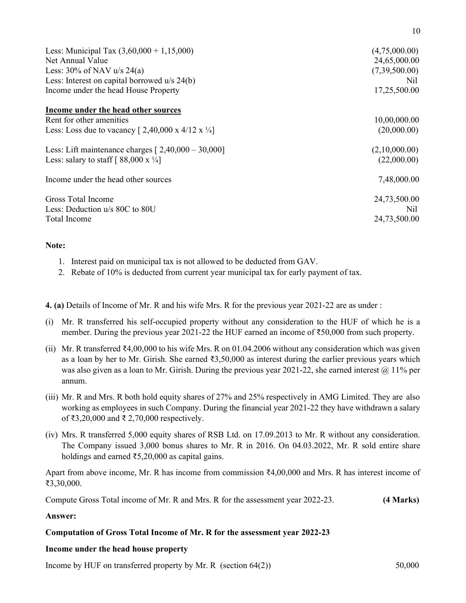| Less: Municipal Tax $(3,60,000 + 1,15,000)$<br>Net Annual Value<br>Less: $30\%$ of NAV u/s 24(a)<br>Less: Interest on capital borrowed $u/s$ 24(b)<br>Income under the head House Property | (4,75,000.00)<br>24,65,000.00<br>(7,39,500.00)<br>Nil<br>17,25,500.00 |
|--------------------------------------------------------------------------------------------------------------------------------------------------------------------------------------------|-----------------------------------------------------------------------|
| Income under the head other sources                                                                                                                                                        |                                                                       |
| Rent for other amenities                                                                                                                                                                   | 10,00,000.00                                                          |
| Less: Loss due to vacancy $[2,40,000 \times 4/12 \times \frac{1}{4}]$                                                                                                                      | (20,000.00)                                                           |
| Less: Lift maintenance charges $[2,40,000 - 30,000]$                                                                                                                                       | (2,10,000.00)                                                         |
| Less: salary to staff $[88,000 \text{ x } \frac{1}{4}]$                                                                                                                                    | (22,000.00)                                                           |
| Income under the head other sources                                                                                                                                                        | 7,48,000.00                                                           |
| Gross Total Income                                                                                                                                                                         | 24,73,500.00                                                          |
| Less: Deduction u/s 80C to 80U                                                                                                                                                             | Nil                                                                   |
| Total Income                                                                                                                                                                               | 24,73,500.00                                                          |

#### Note:

- 1. Interest paid on municipal tax is not allowed to be deducted from GAV.
- 2. Rebate of 10% is deducted from current year municipal tax for early payment of tax.

4. (a) Details of Income of Mr. R and his wife Mrs. R for the previous year 2021-22 are as under :

- (i) Mr. R transferred his self-occupied property without any consideration to the HUF of which he is a member. During the previous year 2021-22 the HUF earned an income of ₹50,000 from such property.
- (ii) Mr. R transferred ₹4,00,000 to his wife Mrs. R on 01.04.2006 without any consideration which was given as a loan by her to Mr. Girish. She earned ₹3,50,000 as interest during the earlier previous years which was also given as a loan to Mr. Girish. During the previous year 2021-22, she earned interest  $\omega$  11% per annum.
- (iii) Mr. R and Mrs. R both hold equity shares of 27% and 25% respectively in AMG Limited. They are also working as employees in such Company. During the financial year 2021-22 they have withdrawn a salary of ₹3,20,000 and ₹ 2,70,000 respectively.
- (iv) Mrs. R transferred 5,000 equity shares of RSB Ltd. on 17.09.2013 to Mr. R without any consideration. The Company issued 3,000 bonus shares to Mr. R in 2016. On 04.03.2022, Mr. R sold entire share holdings and earned ₹5,20,000 as capital gains.

Apart from above income, Mr. R has income from commission ₹4,00,000 and Mrs. R has interest income of ₹3,30,000.

Compute Gross Total income of Mr. R and Mrs. R for the assessment year 2022-23. (4 Marks)

Answer:

#### Computation of Gross Total Income of Mr. R for the assessment year 2022-23

#### Income under the head house property

Income by HUF on transferred property by Mr. R (section 64(2)) 50,000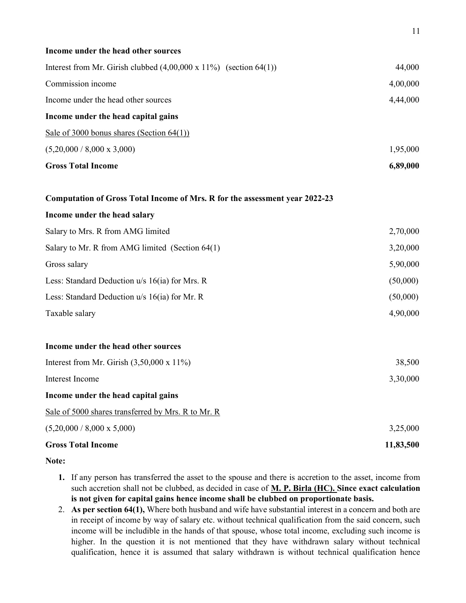| Income under the head other sources                                          |           |
|------------------------------------------------------------------------------|-----------|
| Interest from Mr. Girish clubbed $(4,00,000 \times 11\%)$ (section $64(1)$ ) | 44,000    |
| Commission income                                                            | 4,00,000  |
| Income under the head other sources                                          | 4,44,000  |
| Income under the head capital gains                                          |           |
| Sale of 3000 bonus shares (Section $64(1)$ )                                 |           |
| $(5,20,000 / 8,000 \times 3,000)$                                            | 1,95,000  |
| <b>Gross Total Income</b>                                                    | 6,89,000  |
| Computation of Gross Total Income of Mrs. R for the assessment year 2022-23  |           |
| Income under the head salary                                                 |           |
| Salary to Mrs. R from AMG limited                                            | 2,70,000  |
| Salary to Mr. R from AMG limited (Section 64(1)                              | 3,20,000  |
| Gross salary                                                                 | 5,90,000  |
| Less: Standard Deduction u/s 16(ia) for Mrs. R                               | (50,000)  |
| Less: Standard Deduction $u/s$ 16(ia) for Mr. R                              | (50,000)  |
| Taxable salary                                                               | 4,90,000  |
| Income under the head other sources                                          |           |
| Interest from Mr. Girish $(3,50,000 \times 11\%)$                            | 38,500    |
| Interest Income                                                              | 3,30,000  |
| Income under the head capital gains                                          |           |
| Sale of 5000 shares transferred by Mrs. R to Mr. R                           |           |
| $(5,20,000 / 8,000 \times 5,000)$                                            | 3,25,000  |
| <b>Gross Total Income</b>                                                    | 11,83,500 |

Note:

- 1. If any person has transferred the asset to the spouse and there is accretion to the asset, income from such accretion shall not be clubbed, as decided in case of M. P. Birla (HC). Since exact calculation is not given for capital gains hence income shall be clubbed on proportionate basis.
- 2. As per section 64(1), Where both husband and wife have substantial interest in a concern and both are in receipt of income by way of salary etc. without technical qualification from the said concern, such income will be includible in the hands of that spouse, whose total income, excluding such income is higher. In the question it is not mentioned that they have withdrawn salary without technical qualification, hence it is assumed that salary withdrawn is without technical qualification hence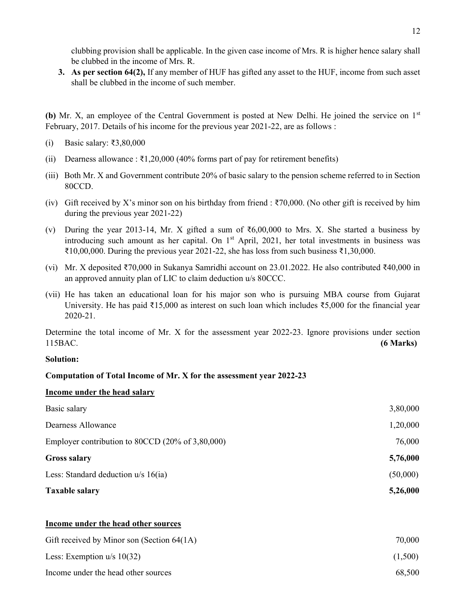clubbing provision shall be applicable. In the given case income of Mrs. R is higher hence salary shall be clubbed in the income of Mrs. R.

3. As per section 64(2), If any member of HUF has gifted any asset to the HUF, income from such asset shall be clubbed in the income of such member.

(b) Mr. X, an employee of the Central Government is posted at New Delhi. He joined the service on 1<sup>st</sup> February, 2017. Details of his income for the previous year 2021-22, are as follows :

- (i) Basic salary: ₹3,80,000
- (ii) Dearness allowance :  $\overline{\text{21,20,000}}$  (40% forms part of pay for retirement benefits)
- (iii) Both Mr. X and Government contribute 20% of basic salary to the pension scheme referred to in Section 80CCD.
- (iv) Gift received by X's minor son on his birthday from friend :  $\overline{\xi}$ 70,000. (No other gift is received by him during the previous year 2021-22)
- (v) During the year 2013-14, Mr. X gifted a sum of ₹6,00,000 to Mrs. X. She started a business by introducing such amount as her capital. On  $1<sup>st</sup>$  April, 2021, her total investments in business was  $\text{\textsterling}10,00,000$ . During the previous year 2021-22, she has loss from such business  $\text{\textsterling}1,30,000$ .
- (vi) Mr. X deposited ₹70,000 in Sukanya Samridhi account on 23.01.2022. He also contributed ₹40,000 in an approved annuity plan of LIC to claim deduction u/s 80CCC.
- (vii) He has taken an educational loan for his major son who is pursuing MBA course from Gujarat University. He has paid ₹15,000 as interest on such loan which includes ₹5,000 for the financial year 2020-21.

Determine the total income of Mr. X for the assessment year 2022-23. Ignore provisions under section 115BAC. (6 Marks)

#### Solution:

#### Computation of Total Income of Mr. X for the assessment year 2022-23

#### Income under the head salary

| <b>Taxable salary</b>                                        | 5,26,000 |
|--------------------------------------------------------------|----------|
| Less: Standard deduction $u/s$ 16(ia)                        | (50,000) |
| <b>Gross salary</b>                                          | 5,76,000 |
| Employer contribution to 80CCD $(20\% \text{ of } 3,80,000)$ | 76,000   |
| Dearness Allowance                                           | 1,20,000 |
| Basic salary                                                 | 3,80,000 |

#### Income under the head other sources

| Gift received by Minor son (Section $64(1A)$ ) | 70,000  |
|------------------------------------------------|---------|
| Less: Exemption $u/s$ 10(32)                   | (1,500) |
| Income under the head other sources            | 68,500  |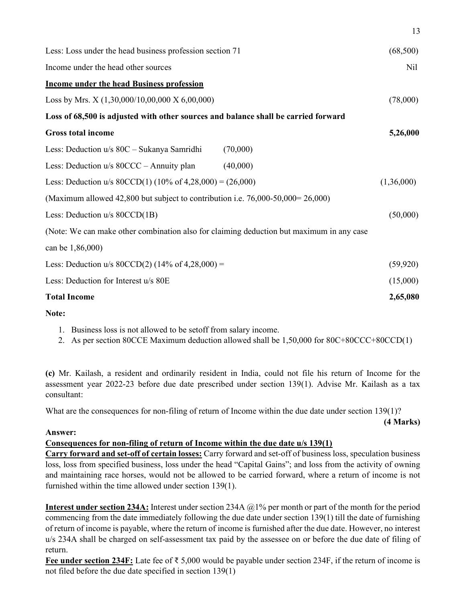| Less: Loss under the head business profession section 71                                 | (68,500)   |
|------------------------------------------------------------------------------------------|------------|
| Income under the head other sources                                                      | Nil        |
| <b>Income under the head Business profession</b>                                         |            |
| Loss by Mrs. X (1,30,000/10,00,000 X 6,00,000)                                           | (78,000)   |
| Loss of 68,500 is adjusted with other sources and balance shall be carried forward       |            |
| <b>Gross total income</b>                                                                | 5,26,000   |
| Less: Deduction u/s 80C - Sukanya Samridhi<br>(70,000)                                   |            |
| Less: Deduction u/s 80CCC – Annuity plan<br>(40,000)                                     |            |
| Less: Deduction u/s $80CCD(1)$ (10% of 4,28,000) = (26,000)                              | (1,36,000) |
| (Maximum allowed 42,800 but subject to contribution i.e. $76,000-50,000=26,000$ )        |            |
| Less: Deduction u/s 80CCD(1B)                                                            | (50,000)   |
| (Note: We can make other combination also for claiming deduction but maximum in any case |            |
| can be 1,86,000)                                                                         |            |
| Less: Deduction u/s $80CCD(2)$ (14% of 4,28,000) =                                       | (59, 920)  |
| Less: Deduction for Interest u/s 80E                                                     | (15,000)   |
| <b>Total Income</b>                                                                      | 2,65,080   |
|                                                                                          |            |

Note:

- 1. Business loss is not allowed to be setoff from salary income.
- 2. As per section 80CCE Maximum deduction allowed shall be 1,50,000 for 80C+80CCC+80CCD(1)

(c) Mr. Kailash, a resident and ordinarily resident in India, could not file his return of Income for the assessment year 2022-23 before due date prescribed under section 139(1). Advise Mr. Kailash as a tax consultant:

What are the consequences for non-filing of return of Income within the due date under section 139(1)?

(4 Marks)

13

#### Answer:

#### Consequences for non-filing of return of Income within the due date u/s 139(1)

Carry forward and set-off of certain losses: Carry forward and set-off of business loss, speculation business loss, loss from specified business, loss under the head "Capital Gains"; and loss from the activity of owning and maintaining race horses, would not be allowed to be carried forward, where a return of income is not furnished within the time allowed under section 139(1).

Interest under section 234A: Interest under section 234A @1% per month or part of the month for the period commencing from the date immediately following the due date under section 139(1) till the date of furnishing of return of income is payable, where the return of income is furnished after the due date. However, no interest u/s 234A shall be charged on self-assessment tax paid by the assessee on or before the due date of filing of return.

Fee under section 234F: Late fee of ₹ 5,000 would be payable under section 234F, if the return of income is not filed before the due date specified in section 139(1)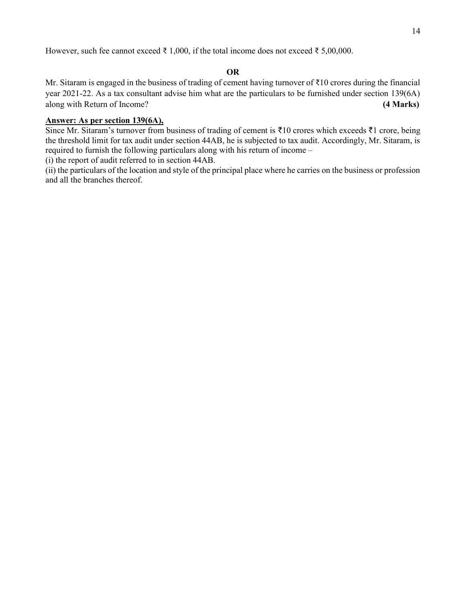However, such fee cannot exceed ₹ 1,000, if the total income does not exceed ₹ 5,00,000.

#### OR

Mr. Sitaram is engaged in the business of trading of cement having turnover of ₹10 crores during the financial year 2021-22. As a tax consultant advise him what are the particulars to be furnished under section 139(6A) along with Return of Income? (4 Marks)

#### Answer: As per section 139(6A),

Since Mr. Sitaram's turnover from business of trading of cement is  $\bar{\tau}10$  crores which exceeds  $\bar{\tau}1$  crore, being the threshold limit for tax audit under section 44AB, he is subjected to tax audit. Accordingly, Mr. Sitaram, is required to furnish the following particulars along with his return of income –

(i) the report of audit referred to in section 44AB.

(ii) the particulars of the location and style of the principal place where he carries on the business or profession and all the branches thereof.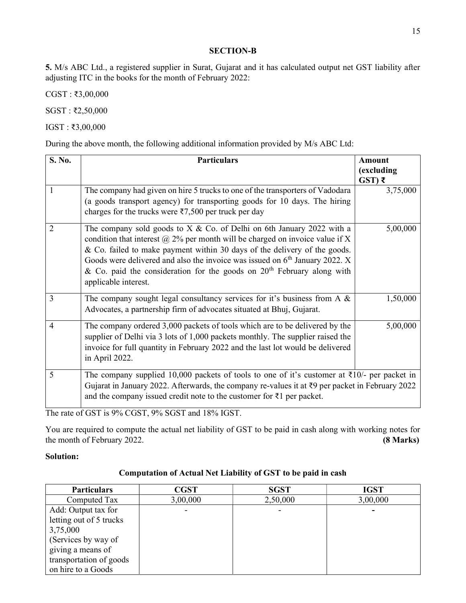#### SECTION-B

5. M/s ABC Ltd., a registered supplier in Surat, Gujarat and it has calculated output net GST liability after adjusting ITC in the books for the month of February 2022:

CGST : ₹3,00,000

SGST : ₹2,50,000

IGST : ₹3,00,000

During the above month, the following additional information provided by M/s ABC Ltd:

| S. No.         | <b>Particulars</b>                                                                                                                                                                                                                                                                                                                                                                                                               | <b>Amount</b>                |
|----------------|----------------------------------------------------------------------------------------------------------------------------------------------------------------------------------------------------------------------------------------------------------------------------------------------------------------------------------------------------------------------------------------------------------------------------------|------------------------------|
|                |                                                                                                                                                                                                                                                                                                                                                                                                                                  | (excluding<br>$\left($ ST) ₹ |
| 1              | The company had given on hire 5 trucks to one of the transporters of Vadodara<br>(a goods transport agency) for transporting goods for 10 days. The hiring<br>charges for the trucks were $\overline{57,500}$ per truck per day                                                                                                                                                                                                  | 3,75,000                     |
| $\overline{2}$ | The company sold goods to $X & Co.$ of Delhi on 6th January 2022 with a<br>condition that interest $\omega$ 2% per month will be charged on invoice value if X<br>& Co. failed to make payment within 30 days of the delivery of the goods.<br>Goods were delivered and also the invoice was issued on $6th$ January 2022. X<br>& Co. paid the consideration for the goods on $20th$ February along with<br>applicable interest. | 5,00,000                     |
| 3              | The company sought legal consultancy services for it's business from A $\&$<br>Advocates, a partnership firm of advocates situated at Bhuj, Gujarat.                                                                                                                                                                                                                                                                             | 1,50,000                     |
| $\overline{4}$ | The company ordered 3,000 packets of tools which are to be delivered by the<br>supplier of Delhi via 3 lots of 1,000 packets monthly. The supplier raised the<br>invoice for full quantity in February 2022 and the last lot would be delivered<br>in April 2022.                                                                                                                                                                | 5,00,000                     |
| 5              | The company supplied 10,000 packets of tools to one of it's customer at $\overline{\xi}10/-$ per packet in<br>Gujarat in January 2022. Afterwards, the company re-values it at $\bar{\zeta}$ per packet in February 2022<br>and the company issued credit note to the customer for $\bar{\tau}$ 1 per packet.                                                                                                                    |                              |

The rate of GST is 9% CGST, 9% SGST and 18% IGST.

You are required to compute the actual net liability of GST to be paid in cash along with working notes for the month of February 2022. (8 Marks)

#### Solution:

|  |  |  | <b>Computation of Actual Net Liability of GST to be paid in cash</b> |
|--|--|--|----------------------------------------------------------------------|
|--|--|--|----------------------------------------------------------------------|

| <b>Particulars</b>      | <b>CGST</b> | <b>SGST</b> | <b>IGST</b> |
|-------------------------|-------------|-------------|-------------|
| Computed Tax            | 3,00,000    | 2,50,000    | 3,00,000    |
| Add: Output tax for     |             |             |             |
| letting out of 5 trucks |             |             |             |
| 3,75,000                |             |             |             |
| (Services by way of     |             |             |             |
| giving a means of       |             |             |             |
| transportation of goods |             |             |             |
| on hire to a Goods      |             |             |             |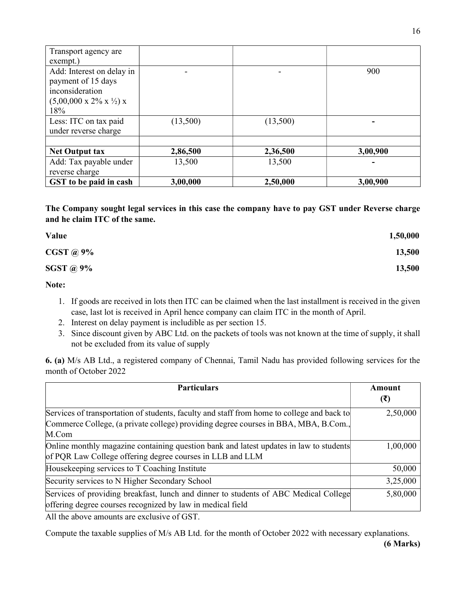| Transport agency are                              |          |          |          |
|---------------------------------------------------|----------|----------|----------|
| exempt.)                                          |          |          |          |
| Add: Interest on delay in                         |          |          | 900      |
| payment of 15 days                                |          |          |          |
| inconsideration                                   |          |          |          |
| $(5,00,000 \times 2\% \times \frac{1}{2}) \times$ |          |          |          |
| 18%                                               |          |          |          |
| Less: ITC on tax paid                             | (13,500) | (13,500) |          |
| under reverse charge                              |          |          |          |
|                                                   |          |          |          |
| <b>Net Output tax</b>                             | 2,86,500 | 2,36,500 | 3,00,900 |
| Add: Tax payable under                            | 13,500   | 13,500   |          |
| reverse charge                                    |          |          |          |
| GST to be paid in cash                            | 3,00,000 | 2,50,000 | 3,00,900 |

The Company sought legal services in this case the company have to pay GST under Reverse charge and he claim ITC of the same.

| Value            | 1,50,000 |
|------------------|----------|
| <b>CGST</b> @ 9% | 13,500   |
| SGST @ 9%        | 13,500   |

Note:

- 1. If goods are received in lots then ITC can be claimed when the last installment is received in the given case, last lot is received in April hence company can claim ITC in the month of April.
- 2. Interest on delay payment is includible as per section 15.
- 3. Since discount given by ABC Ltd. on the packets of tools was not known at the time of supply, it shall not be excluded from its value of supply

6. (a) M/s AB Ltd., a registered company of Chennai, Tamil Nadu has provided following services for the month of October 2022

| <b>Particulars</b>                                                                         | Amount<br>(₹) |
|--------------------------------------------------------------------------------------------|---------------|
|                                                                                            |               |
| Services of transportation of students, faculty and staff from home to college and back to | 2,50,000      |
| Commerce College, (a private college) providing degree courses in BBA, MBA, B.Com.,        |               |
| M.Com                                                                                      |               |
| Online monthly magazine containing question bank and latest updates in law to students     | 1,00,000      |
| of PQR Law College offering degree courses in LLB and LLM                                  |               |
| Housekeeping services to T Coaching Institute                                              | 50,000        |
| Security services to N Higher Secondary School                                             | 3,25,000      |
| Services of providing breakfast, lunch and dinner to students of ABC Medical College       | 5,80,000      |
| offering degree courses recognized by law in medical field                                 |               |

All the above amounts are exclusive of GST.

Compute the taxable supplies of M/s AB Ltd. for the month of October 2022 with necessary explanations.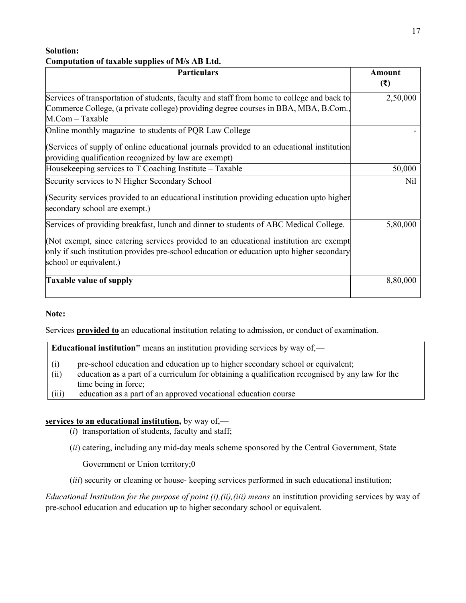#### Solution: Computation of taxable supplies of M/s AB Ltd.

| <b>Particulars</b>                                                                                                                                                                                            | <b>Amount</b> |
|---------------------------------------------------------------------------------------------------------------------------------------------------------------------------------------------------------------|---------------|
|                                                                                                                                                                                                               | (3)           |
| Services of transportation of students, faculty and staff from home to college and back to                                                                                                                    | 2,50,000      |
| Commerce College, (a private college) providing degree courses in BBA, MBA, B.Com.,                                                                                                                           |               |
| M.Com - Taxable                                                                                                                                                                                               |               |
| Online monthly magazine to students of PQR Law College                                                                                                                                                        |               |
| (Services of supply of online educational journals provided to an educational institution                                                                                                                     |               |
| providing qualification recognized by law are exempt)                                                                                                                                                         |               |
| Housekeeping services to T Coaching Institute – Taxable                                                                                                                                                       | 50,000        |
| Security services to N Higher Secondary School                                                                                                                                                                | Nil           |
| (Security services provided to an educational institution providing education upto higher<br>secondary school are exempt.)                                                                                    |               |
| Services of providing breakfast, lunch and dinner to students of ABC Medical College.                                                                                                                         | 5,80,000      |
| (Not exempt, since catering services provided to an educational institution are exempt<br>only if such institution provides pre-school education or education upto higher secondary<br>school or equivalent.) |               |
| <b>Taxable value of supply</b>                                                                                                                                                                                | 8,80,000      |

#### Note:

Services provided to an educational institution relating to admission, or conduct of examination.

Educational institution" means an institution providing services by way of,—

- (i) pre-school education and education up to higher secondary school or equivalent;
- (ii) education as a part of a curriculum for obtaining a qualification recognised by any law for the time being in force;
- (iii) education as a part of an approved vocational education course

#### services to an educational institution, by way of,—

- $(i)$  transportation of students, faculty and staff;
- (ii) catering, including any mid-day meals scheme sponsored by the Central Government, State

Government or Union territory;0

(iii) security or cleaning or house- keeping services performed in such educational institution;

Educational Institution for the purpose of point  $(i)$ ,  $(ii)$ ,  $(iii)$  means an institution providing services by way of pre-school education and education up to higher secondary school or equivalent.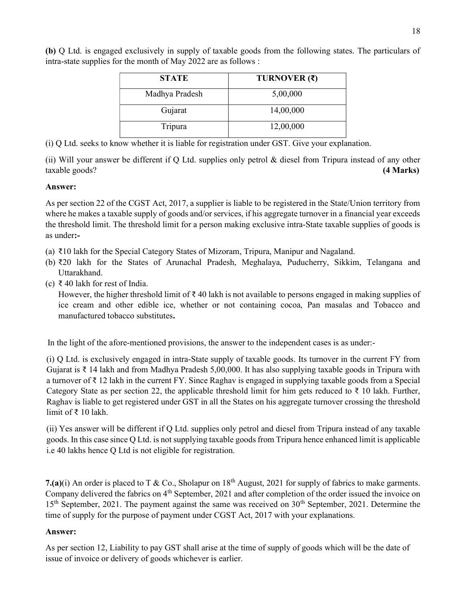(b) Q Ltd. is engaged exclusively in supply of taxable goods from the following states. The particulars of intra-state supplies for the month of May 2022 are as follows :

| <b>STATE</b>   | TURNOVER (₹) |
|----------------|--------------|
| Madhya Pradesh | 5,00,000     |
| Gujarat        | 14,00,000    |
| Tripura        | 12,00,000    |

(i) Q Ltd. seeks to know whether it is liable for registration under GST. Give your explanation.

(ii) Will your answer be different if Q Ltd. supplies only petrol & diesel from Tripura instead of any other taxable goods? (4 Marks)

#### Answer:

As per section 22 of the CGST Act, 2017, a supplier is liable to be registered in the State/Union territory from where he makes a taxable supply of goods and/or services, if his aggregate turnover in a financial year exceeds the threshold limit. The threshold limit for a person making exclusive intra-State taxable supplies of goods is as under:-

- (a) ₹10 lakh for the Special Category States of Mizoram, Tripura, Manipur and Nagaland.
- (b) ₹20 lakh for the States of Arunachal Pradesh, Meghalaya, Puducherry, Sikkim, Telangana and Uttarakhand.
- (c) ₹ 40 lakh for rest of India.

However, the higher threshold limit of  $\bar{\tau}$  40 lakh is not available to persons engaged in making supplies of ice cream and other edible ice, whether or not containing cocoa, Pan masalas and Tobacco and manufactured tobacco substitutes.

In the light of the afore-mentioned provisions, the answer to the independent cases is as under:-

(i) Q Ltd. is exclusively engaged in intra-State supply of taxable goods. Its turnover in the current FY from Gujarat is ₹ 14 lakh and from Madhya Pradesh 5,00,000. It has also supplying taxable goods in Tripura with a turnover of ₹ 12 lakh in the current FY. Since Raghav is engaged in supplying taxable goods from a Special Category State as per section 22, the applicable threshold limit for him gets reduced to  $\bar{\tau}$  10 lakh. Further, Raghav is liable to get registered under GST in all the States on his aggregate turnover crossing the threshold limit of ₹ 10 lakh.

(ii) Yes answer will be different if Q Ltd. supplies only petrol and diesel from Tripura instead of any taxable goods. In this case since Q Ltd. is not supplying taxable goods from Tripura hence enhanced limit is applicable i.e 40 lakhs hence Q Ltd is not eligible for registration.

7.(a)(i) An order is placed to T & Co., Sholapur on  $18<sup>th</sup>$  August, 2021 for supply of fabrics to make garments. Company delivered the fabrics on 4<sup>th</sup> September, 2021 and after completion of the order issued the invoice on  $15<sup>th</sup>$  September, 2021. The payment against the same was received on  $30<sup>th</sup>$  September, 2021. Determine the time of supply for the purpose of payment under CGST Act, 2017 with your explanations.

#### Answer:

As per section 12, Liability to pay GST shall arise at the time of supply of goods which will be the date of issue of invoice or delivery of goods whichever is earlier.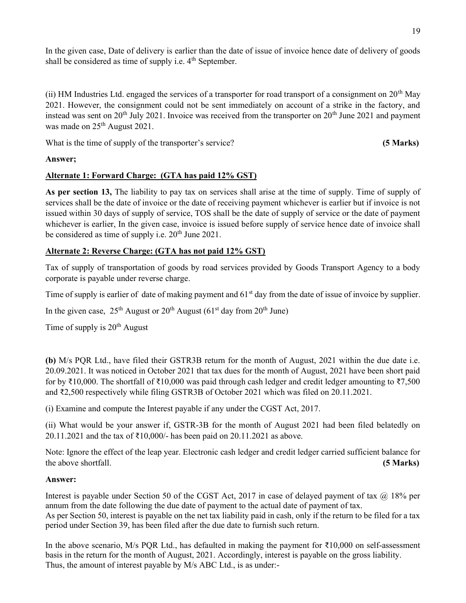In the given case, Date of delivery is earlier than the date of issue of invoice hence date of delivery of goods shall be considered as time of supply i.e.  $4<sup>th</sup>$  September.

(ii) HM Industries Ltd. engaged the services of a transporter for road transport of a consignment on 20<sup>th</sup> May 2021. However, the consignment could not be sent immediately on account of a strike in the factory, and instead was sent on  $20<sup>th</sup>$  July 2021. Invoice was received from the transporter on  $20<sup>th</sup>$  June 2021 and payment was made on  $25<sup>th</sup>$  August 2021.

What is the time of supply of the transporter's service? (5 Marks)

#### Answer;

#### Alternate 1: Forward Charge: (GTA has paid 12% GST)

As per section 13, The liability to pay tax on services shall arise at the time of supply. Time of supply of services shall be the date of invoice or the date of receiving payment whichever is earlier but if invoice is not issued within 30 days of supply of service, TOS shall be the date of supply of service or the date of payment whichever is earlier, In the given case, invoice is issued before supply of service hence date of invoice shall be considered as time of supply i.e.  $20<sup>th</sup>$  June 2021.

#### Alternate 2: Reverse Charge: (GTA has not paid 12% GST)

Tax of supply of transportation of goods by road services provided by Goods Transport Agency to a body corporate is payable under reverse charge.

Time of supply is earlier of date of making payment and  $61<sup>st</sup>$  day from the date of issue of invoice by supplier.

In the given case,  $25^{th}$  August or  $20^{th}$  August (61<sup>st</sup> day from  $20^{th}$  June)

Time of supply is  $20<sup>th</sup>$  August

(b) M/s PQR Ltd., have filed their GSTR3B return for the month of August, 2021 within the due date i.e. 20.09.2021. It was noticed in October 2021 that tax dues for the month of August, 2021 have been short paid for by ₹10,000. The shortfall of ₹10,000 was paid through cash ledger and credit ledger amounting to ₹7,500 and ₹2,500 respectively while filing GSTR3B of October 2021 which was filed on 20.11.2021.

(i) Examine and compute the Interest payable if any under the CGST Act, 2017.

(ii) What would be your answer if, GSTR-3B for the month of August 2021 had been filed belatedly on 20.11.2021 and the tax of ₹10,000/- has been paid on 20.11.2021 as above.

Note: Ignore the effect of the leap year. Electronic cash ledger and credit ledger carried sufficient balance for the above shortfall. (5 Marks) (5 Marks)

#### Answer:

Interest is payable under Section 50 of the CGST Act, 2017 in case of delayed payment of tax  $(a)$  18% per annum from the date following the due date of payment to the actual date of payment of tax. As per Section 50, interest is payable on the net tax liability paid in cash, only if the return to be filed for a tax period under Section 39, has been filed after the due date to furnish such return.

In the above scenario, M/s PQR Ltd., has defaulted in making the payment for ₹10,000 on self-assessment basis in the return for the month of August, 2021. Accordingly, interest is payable on the gross liability. Thus, the amount of interest payable by M/s ABC Ltd., is as under:-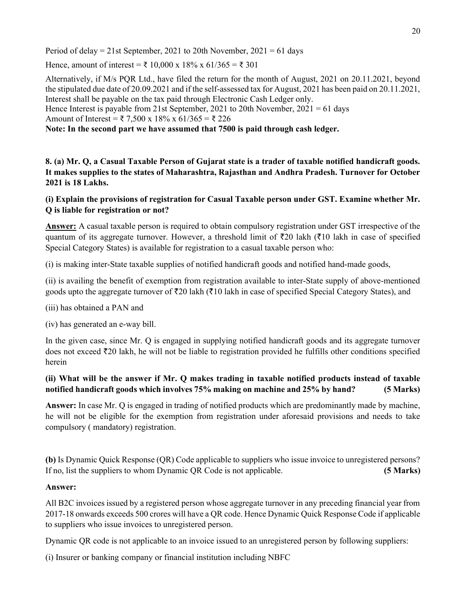Period of delay = 21st September, 2021 to 20th November,  $2021 = 61$  days

Hence, amount of interest = ₹ 10,000 x 18% x 61/365 = ₹ 301

Alternatively, if M/s PQR Ltd., have filed the return for the month of August, 2021 on 20.11.2021, beyond the stipulated due date of 20.09.2021 and if the self-assessed tax for August, 2021 has been paid on 20.11.2021, Interest shall be payable on the tax paid through Electronic Cash Ledger only. Hence Interest is payable from 21st September, 2021 to 20th November, 2021 = 61 days Amount of Interest = ₹ 7,500 x 18% x 61/365 = ₹ 226

Note: In the second part we have assumed that 7500 is paid through cash ledger.

8. (a) Mr. Q, a Casual Taxable Person of Gujarat state is a trader of taxable notified handicraft goods. It makes supplies to the states of Maharashtra, Rajasthan and Andhra Pradesh. Turnover for October 2021 is 18 Lakhs.

#### (i) Explain the provisions of registration for Casual Taxable person under GST. Examine whether Mr. Q is liable for registration or not?

Answer: A casual taxable person is required to obtain compulsory registration under GST irrespective of the quantum of its aggregate turnover. However, a threshold limit of  $\bar{\tau}$ 20 lakh ( $\bar{\tau}$ 10 lakh in case of specified Special Category States) is available for registration to a casual taxable person who:

(i) is making inter-State taxable supplies of notified handicraft goods and notified hand-made goods,

(ii) is availing the benefit of exemption from registration available to inter-State supply of above-mentioned goods upto the aggregate turnover of  $\bar{\tau}$ 20 lakh ( $\bar{\tau}$ 10 lakh in case of specified Special Category States), and

- (iii) has obtained a PAN and
- (iv) has generated an e-way bill.

In the given case, since Mr. Q is engaged in supplying notified handicraft goods and its aggregate turnover does not exceed  $\bar{\tau}$ 20 lakh, he will not be liable to registration provided he fulfills other conditions specified herein

#### (ii) What will be the answer if Mr. Q makes trading in taxable notified products instead of taxable notified handicraft goods which involves 75% making on machine and 25% by hand? (5 Marks)

Answer: In case Mr. Q is engaged in trading of notified products which are predominantly made by machine, he will not be eligible for the exemption from registration under aforesaid provisions and needs to take compulsory ( mandatory) registration.

(b) Is Dynamic Quick Response (QR) Code applicable to suppliers who issue invoice to unregistered persons? If no, list the suppliers to whom Dynamic QR Code is not applicable. (5 Marks)

#### Answer:

All B2C invoices issued by a registered person whose aggregate turnover in any preceding financial year from 2017-18 onwards exceeds 500 crores will have a QR code. Hence Dynamic Quick Response Code if applicable to suppliers who issue invoices to unregistered person.

Dynamic QR code is not applicable to an invoice issued to an unregistered person by following suppliers:

(i) Insurer or banking company or financial institution including NBFC